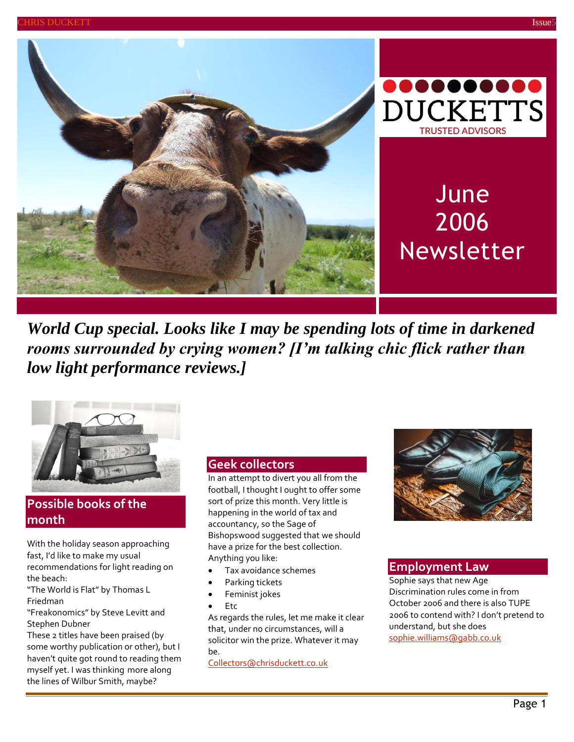



# June 2006 Newsletter

*World Cup special. Looks like I may be spending lots of time in darkened rooms surrounded by crying women? [I'm talking chic flick rather than low light performance reviews.]*



## **Possible books of the month**

With the holiday season approaching fast, I'd like to make my usual recommendations for light reading on the beach:

"The World is Flat" by Thomas L Friedman

"Freakonomics" by Steve Levitt and Stephen Dubner

These 2 titles have been praised (by some worthy publication or other), but I haven't quite got round to reading them myself yet. I was thinking more along the lines of Wilbur Smith, maybe?

#### **Geek collectors**

In an attempt to divert you all from the football, I thought I ought to offer some sort of prize this month. Very little is happening in the world of tax and accountancy, so the Sage of Bishopswood suggested that we should have a prize for the best collection. Anything you like:

- Tax avoidance schemes
- Parking tickets
- Feminist jokes
- Etc

As regards the rules, let me make it clear that, under no circumstances, will a solicitor win the prize. Whatever it may be.

[Collectors@chrisduckett.co.uk](mailto:Collectors@chrisduckett.co.uk)



#### **Employment Law**

Sophie says that new Age Discrimination rules come in from October 2006 and there is also TUPE 2006 to contend with? I don't pretend to understand, but she does [sophie.williams@gabb.co.uk](mailto:sophie.williams@gabb.co.uk)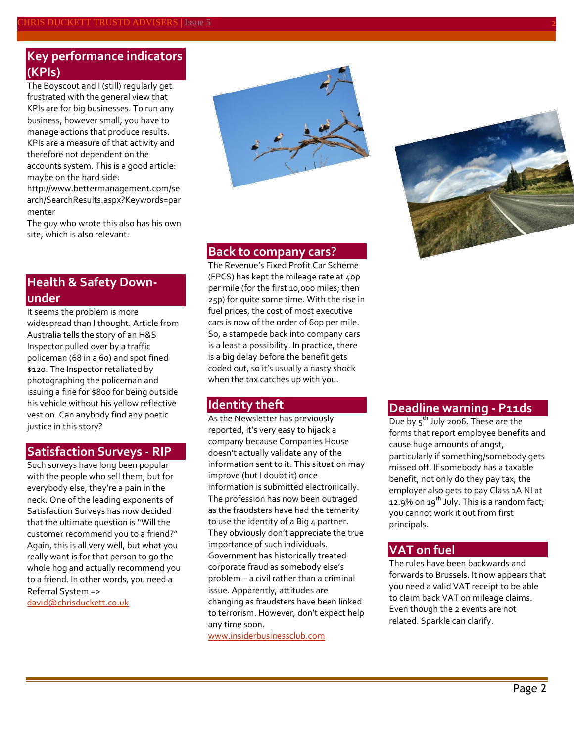## **Key performance indicators (KPIs)**

The Boyscout and I (still) regularly get frustrated with the general view that KPIs are for big businesses. To run any business, however small, you have to manage actions that produce results. KPIs are a measure of that activity and therefore not dependent on the accounts system. This is a good article: maybe on the hard side:

http://www.bettermanagement.com/se arch/SearchResults.aspx?Keywords=par menter

The guy who wrote this also has his own site, which is also relevant:

### **Health & Safety Downunder**

It seems the problem is more widespread than I thought. Article from Australia tells the story of an H&S Inspector pulled over by a traffic policeman (68 in a 60) and spot fined \$120. The Inspector retaliated by photographing the policeman and issuing a fine for \$800 for being outside his vehicle without his yellow reflective vest on. Can anybody find any poetic justice in this story?

#### **Satisfaction Surveys - RIP**

Such surveys have long been popular with the people who sell them, but for everybody else, they're a pain in the neck. One of the leading exponents of Satisfaction Surveys has now decided that the ultimate question is "Will the customer recommend you to a friend?" Again, this is all very well, but what you really want is for that person to go the whole hog and actually recommend you to a friend. In other words, you need a Referral System => [david@chrisduckett.co.uk](mailto:david@chrisduckett.co.uk)





#### **Back to company cars?**

The Revenue's Fixed Profit Car Scheme (FPCS) has kept the mileage rate at 40p per mile (for the first 10,000 miles; then 25p) for quite some time. With the rise in fuel prices, the cost of most executive cars is now of the order of 60p per mile. So, a stampede back into company cars is a least a possibility. In practice, there is a big delay before the benefit gets coded out, so it's usually a nasty shock when the tax catches up with you.

#### **Identity theft**

As the Newsletter has previously reported, it's very easy to hijack a company because Companies House doesn't actually validate any of the information sent to it. This situation may improve (but I doubt it) once information is submitted electronically. The profession has now been outraged as the fraudsters have had the temerity to use the identity of a Big 4 partner. They obviously don't appreciate the true importance of such individuals. Government has historically treated corporate fraud as somebody else's problem – a civil rather than a criminal issue. Apparently, attitudes are changing as fraudsters have been linked to terrorism. However, don't expect help any time soon.

[www.insiderbusinessclub.com](http://www.insiderbusinessclub.com/)

#### **Deadline warning - P11ds**

Due by  $5^{th}$  July 2006. These are the forms that report employee benefits and cause huge amounts of angst, particularly if something/somebody gets missed off. If somebody has a taxable benefit, not only do they pay tax, the employer also gets to pay Class 1A NI at 12.9% on 19<sup>th</sup> July. This is a random fact; you cannot work it out from first principals.

#### **VAT on fuel**

The rules have been backwards and forwards to Brussels. It now appears that you need a valid VAT receipt to be able to claim back VAT on mileage claims. Even though the 2 events are not related. Sparkle can clarify.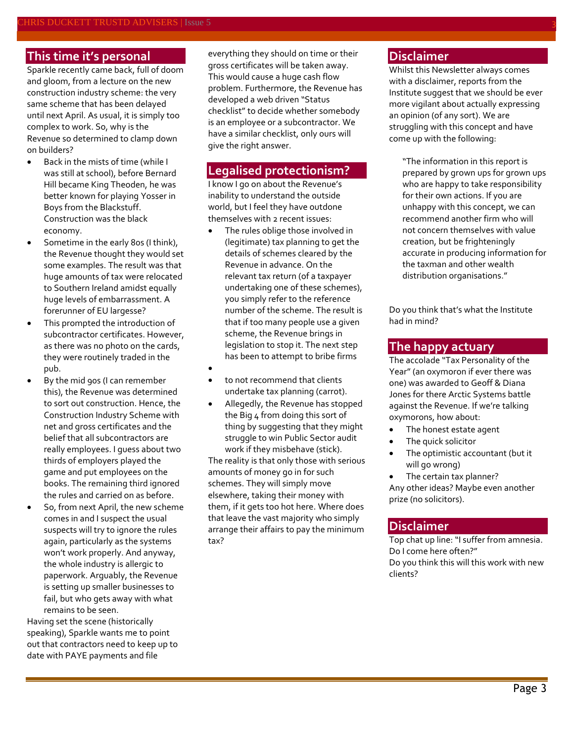#### **This time it's personal**

Sparkle recently came back, full of doom and gloom, from a lecture on the new construction industry scheme: the very same scheme that has been delayed until next April. As usual, it is simply too complex to work. So, why is the Revenue so determined to clamp down on builders?

- Back in the mists of time (while I was still at school), before Bernard Hill became King Theoden, he was better known for playing Yosser in Boys from the Blackstuff. Construction was the black economy.
- Sometime in the early 80s (I think), the Revenue thought they would set some examples. The result was that huge amounts of tax were relocated to Southern Ireland amidst equally huge levels of embarrassment. A forerunner of EU largesse?
- This prompted the introduction of subcontractor certificates. However, as there was no photo on the cards, they were routinely traded in the pub.
- By the mid 90s (I can remember this), the Revenue was determined to sort out construction. Hence, the Construction Industry Scheme with net and gross certificates and the belief that all subcontractors are really employees. I guess about two thirds of employers played the game and put employees on the books. The remaining third ignored the rules and carried on as before.
- So, from next April, the new scheme comes in and I suspect the usual suspects will try to ignore the rules again, particularly as the systems won't work properly. And anyway, the whole industry is allergic to paperwork. Arguably, the Revenue is setting up smaller businesses to fail, but who gets away with what remains to be seen.

Having set the scene (historically speaking), Sparkle wants me to point out that contractors need to keep up to date with PAYE payments and file

everything they should on time or their gross certificates will be taken away. This would cause a huge cash flow problem. Furthermore, the Revenue has developed a web driven "Status checklist" to decide whether somebody is an employee or a subcontractor. We have a similar checklist, only ours will give the right answer.

#### **Legalised protectionism?**

I know I go on about the Revenue's inability to understand the outside world, but I feel they have outdone themselves with 2 recent issues:

- The rules oblige those involved in (legitimate) tax planning to get the details of schemes cleared by the Revenue in advance. On the relevant tax return (of a taxpayer undertaking one of these schemes), you simply refer to the reference number of the scheme. The result is that if too many people use a given scheme, the Revenue brings in legislation to stop it. The next step has been to attempt to bribe firms
- $\bullet$
- to not recommend that clients undertake tax planning (carrot).
- Allegedly, the Revenue has stopped the Big 4 from doing this sort of thing by suggesting that they might struggle to win Public Sector audit work if they misbehave (stick).

The reality is that only those with serious amounts of money go in for such schemes. They will simply move elsewhere, taking their money with them, if it gets too hot here. Where does that leave the vast majority who simply arrange their affairs to pay the minimum tax?

## **Disclaimer**

Whilst this Newsletter always comes with a disclaimer, reports from the Institute suggest that we should be ever more vigilant about actually expressing an opinion (of any sort). We are struggling with this concept and have come up with the following:

"The information in this report is prepared by grown ups for grown ups who are happy to take responsibility for their own actions. If you are unhappy with this concept, we can recommend another firm who will not concern themselves with value creation, but be frighteningly accurate in producing information for the taxman and other wealth distribution organisations."

Do you think that's what the Institute had in mind?

#### **The happy actuary**

The accolade "Tax Personality of the Year" (an oxymoron if ever there was one) was awarded to Geoff & Diana Jones for there Arctic Systems battle against the Revenue. If we're talking oxymorons, how about:

- The honest estate agent
- The quick solicitor
- The optimistic accountant (but it will go wrong)

 The certain tax planner? Any other ideas? Maybe even another prize (no solicitors).

#### **Disclaimer**

Top chat up line: "I suffer from amnesia. Do I come here often?" Do you think this will this work with new clients?